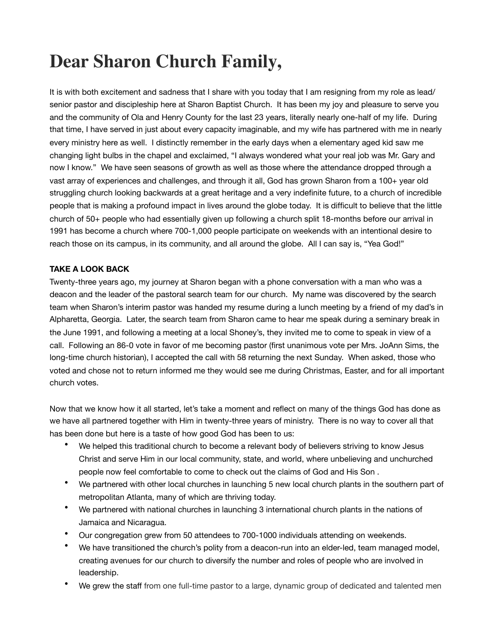## **Dear Sharon Church Family,**

It is with both excitement and sadness that I share with you today that I am resigning from my role as lead/ senior pastor and discipleship here at Sharon Baptist Church. It has been my joy and pleasure to serve you and the community of Ola and Henry County for the last 23 years, literally nearly one-half of my life. During that time, I have served in just about every capacity imaginable, and my wife has partnered with me in nearly every ministry here as well. I distinctly remember in the early days when a elementary aged kid saw me changing light bulbs in the chapel and exclaimed, "I always wondered what your real job was Mr. Gary and now I know." We have seen seasons of growth as well as those where the attendance dropped through a vast array of experiences and challenges, and through it all, God has grown Sharon from a 100+ year old struggling church looking backwards at a great heritage and a very indefinite future, to a church of incredible people that is making a profound impact in lives around the globe today. It is difficult to believe that the little church of 50+ people who had essentially given up following a church split 18-months before our arrival in 1991 has become a church where 700-1,000 people participate on weekends with an intentional desire to reach those on its campus, in its community, and all around the globe. All I can say is, "Yea God!"

## **TAKE A LOOK BACK**

Twenty-three years ago, my journey at Sharon began with a phone conversation with a man who was a deacon and the leader of the pastoral search team for our church. My name was discovered by the search team when Sharon's interim pastor was handed my resume during a lunch meeting by a friend of my dad's in Alpharetta, Georgia. Later, the search team from Sharon came to hear me speak during a seminary break in the June 1991, and following a meeting at a local Shoney's, they invited me to come to speak in view of a call. Following an 86-0 vote in favor of me becoming pastor (first unanimous vote per Mrs. JoAnn Sims, the long-time church historian), I accepted the call with 58 returning the next Sunday. When asked, those who voted and chose not to return informed me they would see me during Christmas, Easter, and for all important church votes.

Now that we know how it all started, let's take a moment and reflect on many of the things God has done as we have all partnered together with Him in twenty-three years of ministry. There is no way to cover all that has been done but here is a taste of how good God has been to us:

- We helped this traditional church to become a relevant body of believers striving to know Jesus Christ and serve Him in our local community, state, and world, where unbelieving and unchurched people now feel comfortable to come to check out the claims of God and His Son .
- We partnered with other local churches in launching 5 new local church plants in the southern part of metropolitan Atlanta, many of which are thriving today.
- We partnered with national churches in launching 3 international church plants in the nations of Jamaica and Nicaragua.
- Our congregation grew from 50 attendees to 700-1000 individuals attending on weekends.
- We have transitioned the church's polity from a deacon-run into an elder-led, team managed model, creating avenues for our church to diversify the number and roles of people who are involved in leadership.
- We grew the staff from one full-time pastor to a large, dynamic group of dedicated and talented men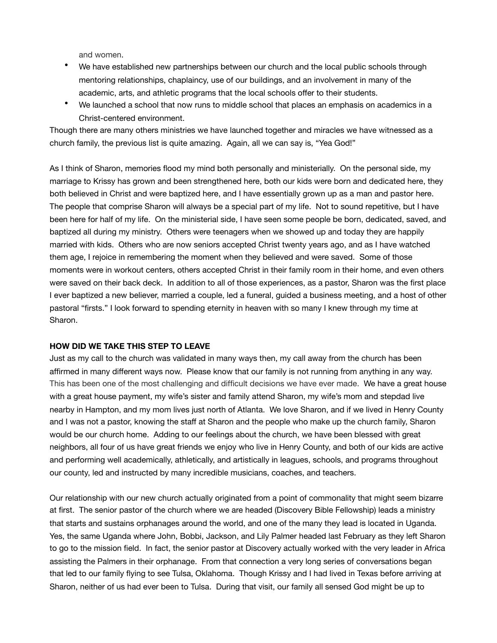and women.

- We have established new partnerships between our church and the local public schools through mentoring relationships, chaplaincy, use of our buildings, and an involvement in many of the academic, arts, and athletic programs that the local schools offer to their students.
- We launched a school that now runs to middle school that places an emphasis on academics in a Christ-centered environment.

Though there are many others ministries we have launched together and miracles we have witnessed as a church family, the previous list is quite amazing. Again, all we can say is, "Yea God!"

As I think of Sharon, memories flood my mind both personally and ministerially. On the personal side, my marriage to Krissy has grown and been strengthened here, both our kids were born and dedicated here, they both believed in Christ and were baptized here, and I have essentially grown up as a man and pastor here. The people that comprise Sharon will always be a special part of my life. Not to sound repetitive, but I have been here for half of my life. On the ministerial side, I have seen some people be born, dedicated, saved, and baptized all during my ministry. Others were teenagers when we showed up and today they are happily married with kids. Others who are now seniors accepted Christ twenty years ago, and as I have watched them age, I rejoice in remembering the moment when they believed and were saved. Some of those moments were in workout centers, others accepted Christ in their family room in their home, and even others were saved on their back deck. In addition to all of those experiences, as a pastor, Sharon was the first place I ever baptized a new believer, married a couple, led a funeral, guided a business meeting, and a host of other pastoral "firsts." I look forward to spending eternity in heaven with so many I knew through my time at Sharon.

### **HOW DID WE TAKE THIS STEP TO LEAVE**

Just as my call to the church was validated in many ways then, my call away from the church has been affirmed in many different ways now. Please know that our family is not running from anything in any way. This has been one of the most challenging and difficult decisions we have ever made. We have a great house with a great house payment, my wife's sister and family attend Sharon, my wife's mom and stepdad live nearby in Hampton, and my mom lives just north of Atlanta. We love Sharon, and if we lived in Henry County and I was not a pastor, knowing the staff at Sharon and the people who make up the church family, Sharon would be our church home. Adding to our feelings about the church, we have been blessed with great neighbors, all four of us have great friends we enjoy who live in Henry County, and both of our kids are active and performing well academically, athletically, and artistically in leagues, schools, and programs throughout our county, led and instructed by many incredible musicians, coaches, and teachers.

Our relationship with our new church actually originated from a point of commonality that might seem bizarre at first. The senior pastor of the church where we are headed (Discovery Bible Fellowship) leads a ministry that starts and sustains orphanages around the world, and one of the many they lead is located in Uganda. Yes, the same Uganda where John, Bobbi, Jackson, and Lily Palmer headed last February as they left Sharon to go to the mission field. In fact, the senior pastor at Discovery actually worked with the very leader in Africa assisting the Palmers in their orphanage. From that connection a very long series of conversations began that led to our family flying to see Tulsa, Oklahoma. Though Krissy and I had lived in Texas before arriving at Sharon, neither of us had ever been to Tulsa. During that visit, our family all sensed God might be up to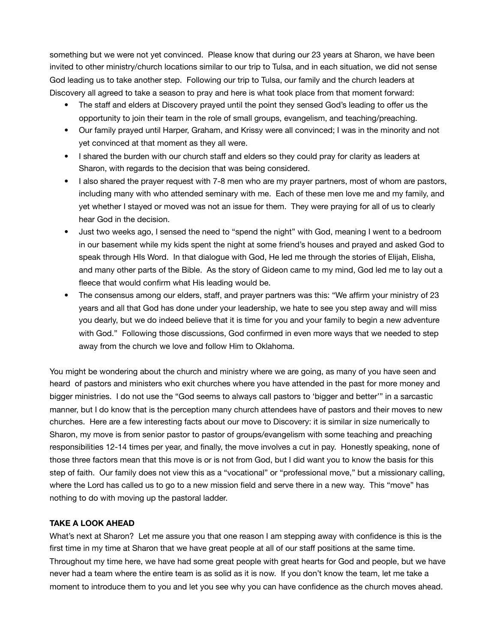something but we were not yet convinced. Please know that during our 23 years at Sharon, we have been invited to other ministry/church locations similar to our trip to Tulsa, and in each situation, we did not sense God leading us to take another step. Following our trip to Tulsa, our family and the church leaders at Discovery all agreed to take a season to pray and here is what took place from that moment forward:

- The staff and elders at Discovery prayed until the point they sensed God's leading to offer us the opportunity to join their team in the role of small groups, evangelism, and teaching/preaching.
- Our family prayed until Harper, Graham, and Krissy were all convinced; I was in the minority and not yet convinced at that moment as they all were.
- I shared the burden with our church staff and elders so they could pray for clarity as leaders at Sharon, with regards to the decision that was being considered.
- I also shared the prayer request with 7-8 men who are my prayer partners, most of whom are pastors, including many with who attended seminary with me. Each of these men love me and my family, and yet whether I stayed or moved was not an issue for them. They were praying for all of us to clearly hear God in the decision.
- Just two weeks ago, I sensed the need to "spend the night" with God, meaning I went to a bedroom in our basement while my kids spent the night at some friend's houses and prayed and asked God to speak through HIs Word. In that dialogue with God, He led me through the stories of Elijah, Elisha, and many other parts of the Bible. As the story of Gideon came to my mind, God led me to lay out a fleece that would confirm what His leading would be.
- The consensus among our elders, staff, and prayer partners was this: "We affirm your ministry of 23 years and all that God has done under your leadership, we hate to see you step away and will miss you dearly, but we do indeed believe that it is time for you and your family to begin a new adventure with God." Following those discussions, God confirmed in even more ways that we needed to step away from the church we love and follow Him to Oklahoma.

You might be wondering about the church and ministry where we are going, as many of you have seen and heard of pastors and ministers who exit churches where you have attended in the past for more money and bigger ministries. I do not use the "God seems to always call pastors to 'bigger and better'" in a sarcastic manner, but I do know that is the perception many church attendees have of pastors and their moves to new churches. Here are a few interesting facts about our move to Discovery: it is similar in size numerically to Sharon, my move is from senior pastor to pastor of groups/evangelism with some teaching and preaching responsibilities 12-14 times per year, and finally, the move involves a cut in pay. Honestly speaking, none of those three factors mean that this move is or is not from God, but I did want you to know the basis for this step of faith. Our family does not view this as a "vocational" or "professional move," but a missionary calling, where the Lord has called us to go to a new mission field and serve there in a new way. This "move" has nothing to do with moving up the pastoral ladder.

### **TAKE A LOOK AHEAD**

What's next at Sharon? Let me assure you that one reason I am stepping away with confidence is this is the first time in my time at Sharon that we have great people at all of our staff positions at the same time. Throughout my time here, we have had some great people with great hearts for God and people, but we have never had a team where the entire team is as solid as it is now. If you don't know the team, let me take a moment to introduce them to you and let you see why you can have confidence as the church moves ahead.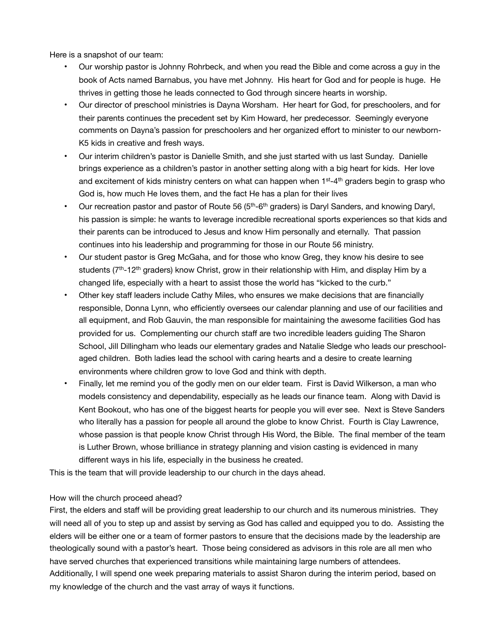Here is a snapshot of our team:

- Our worship pastor is Johnny Rohrbeck, and when you read the Bible and come across a guy in the book of Acts named Barnabus, you have met Johnny. His heart for God and for people is huge. He thrives in getting those he leads connected to God through sincere hearts in worship.
- Our director of preschool ministries is Dayna Worsham. Her heart for God, for preschoolers, and for their parents continues the precedent set by Kim Howard, her predecessor. Seemingly everyone comments on Dayna's passion for preschoolers and her organized effort to minister to our newborn-K5 kids in creative and fresh ways.
- Our interim children's pastor is Danielle Smith, and she just started with us last Sunday. Danielle brings experience as a children's pastor in another setting along with a big heart for kids. Her love and excitement of kids ministry centers on what can happen when 1<sup>st</sup>-4<sup>th</sup> graders begin to grasp who God is, how much He loves them, and the fact He has a plan for their lives
- Our recreation pastor and pastor of Route 56 (5th-6th graders) is Daryl Sanders, and knowing Daryl, his passion is simple: he wants to leverage incredible recreational sports experiences so that kids and their parents can be introduced to Jesus and know Him personally and eternally. That passion continues into his leadership and programming for those in our Route 56 ministry.
- Our student pastor is Greg McGaha, and for those who know Greg, they know his desire to see students (7<sup>th</sup>-12<sup>th</sup> graders) know Christ, grow in their relationship with Him, and display Him by a changed life, especially with a heart to assist those the world has "kicked to the curb."
- Other key staff leaders include Cathy Miles, who ensures we make decisions that are financially responsible, Donna Lynn, who efficiently oversees our calendar planning and use of our facilities and all equipment, and Rob Gauvin, the man responsible for maintaining the awesome facilities God has provided for us. Complementing our church staff are two incredible leaders guiding The Sharon School, Jill Dillingham who leads our elementary grades and Natalie Sledge who leads our preschoolaged children. Both ladies lead the school with caring hearts and a desire to create learning environments where children grow to love God and think with depth.
- Finally, let me remind you of the godly men on our elder team. First is David Wilkerson, a man who models consistency and dependability, especially as he leads our finance team. Along with David is Kent Bookout, who has one of the biggest hearts for people you will ever see. Next is Steve Sanders who literally has a passion for people all around the globe to know Christ. Fourth is Clay Lawrence, whose passion is that people know Christ through His Word, the Bible. The final member of the team is Luther Brown, whose brilliance in strategy planning and vision casting is evidenced in many different ways in his life, especially in the business he created.

This is the team that will provide leadership to our church in the days ahead.

#### How will the church proceed ahead?

First, the elders and staff will be providing great leadership to our church and its numerous ministries. They will need all of you to step up and assist by serving as God has called and equipped you to do. Assisting the elders will be either one or a team of former pastors to ensure that the decisions made by the leadership are theologically sound with a pastor's heart. Those being considered as advisors in this role are all men who have served churches that experienced transitions while maintaining large numbers of attendees. Additionally, I will spend one week preparing materials to assist Sharon during the interim period, based on my knowledge of the church and the vast array of ways it functions.